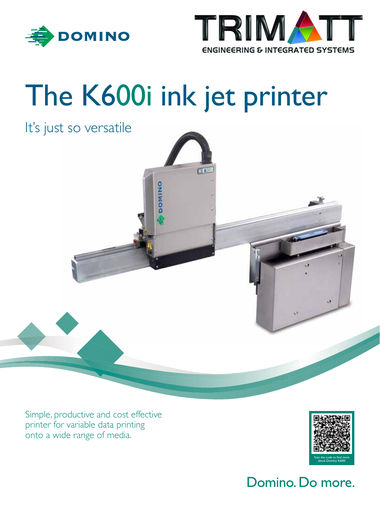



# The K600i ink jet printer

**DOMIN** 

### It's just so versatile

Simple, productive and cost effective printer for variable data printing onto a wide range of media.



### Domino. Do more.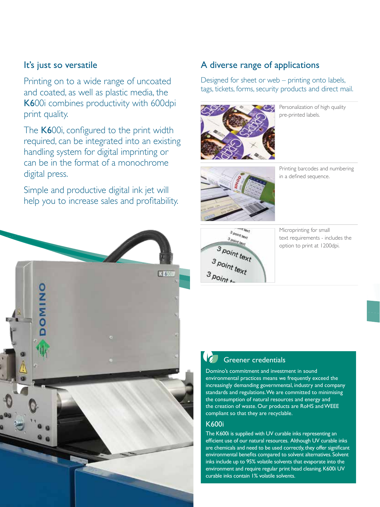#### It's just so versatile

Printing on to a wide range of uncoated and coated, as well as plastic media, the K600i combines productivity with 600dpi print quality.

The K600i, configured to the print width required, can be integrated into an existing handling system for digital imprinting or can be in the format of a monochrome digital press.

Simple and productive digital ink jet will help you to increase sales and profitability.



#### A diverse range of applications

Designed for sheet or web – printing onto labels, tags, tickets, forms, security products and direct mail.



Personalization of high quality pre-printed labels.



Printing barcodes and numbering in a defined sequence.



Microprinting for small text requirements - includes the option to print at 1200dpi.

### Greener credentials

Domino's commitment and investment in sound environmental practices means we frequently exceed the increasingly demanding governmental, industry and company standards and regulations. We are committed to minimising the consumption of natural resources and energy and the creation of waste. Our products are RoHS and WEEE compliant so that they are recyclable.

#### K600i

The K600i is supplied with UV curable inks representing an efficient use of our natural resources. Although UV curable inks are chemicals and need to be used correctly, they offer significant environmental benefits compared to solvent alternatives. Solvent inks include up to 95% volatile solvents that evaporate into the environment and require regular print head cleaning. K600i UV curable inks contain 1% volatile solvents.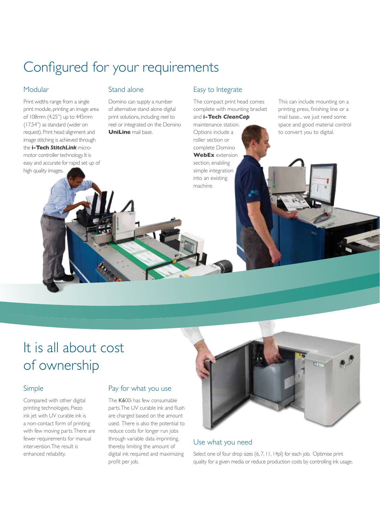### Configured for your requirements

#### Modular

Print widths range from a single print module, printing an image area of 108mm (4.25") up to 445mm (17.54") as standard (wider on request). Print head alignment and image stitching is achieved through the **i-Tech** *StitchLink* micromotor controller technology. It is easy and accurate for rapid set up of high quality images.

#### Stand alone

Domino can supply a number of alternative stand alone digital print solutions, including reel to reel or integrated on the Domino **UniLine** mail base.

#### Easy to Integrate

The compact print head comes complete with mounting bracket and **i-Tech** *CleanCap*

maintenance station. Options include a roller section or complete Domino **WebEx** extension section, enabling simple integration into an existing machine.

This can include mounting on a printing press, finishing line or a mail base... we just need some space and good material control to convert you to digital.

### It is all about cost of ownership

#### Simple

Compared with other digital printing technologies, Piezo ink jet with UV curable ink is a non-contact form of printing with few moving parts. There are fewer requirements for manual intervention. The result is enhanced reliability.

#### Pay for what you use

The K600i has few consumable parts. The UV curable ink and flush are charged based on the amount used. There is also the potential to reduce costs for longer run jobs through variable data imprinting, thereby limiting the amount of digital ink required and maximizing profit per job.



#### Use what you need

Select one of four drop sizes (6, 7, 11, 14pl) for each job. Optimise print quality for a given media or reduce production costs by controlling ink usage.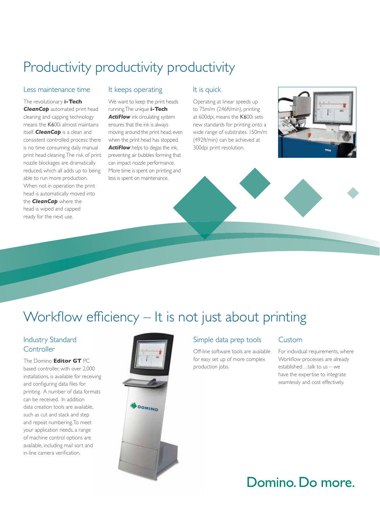### Productivity productivity productivity

#### Less maintenance time

The revolutionary **i-Tech CleanCap** automated print head cleaning and capping technology means the K600i almost maintains itself. *CleanCap* is a clean and consistent controlled process: there is no time consuming daily manual print head cleaning. The risk of print nozzle blockages are dramatically reduced, which all adds up to being able to run more production. When not in operation the print head is automatically moved into the *CleanCap* where the head is wiped and capped ready for the next use.

#### It keeps operating

We want to keep the print heads running. The unique **i-Tech**  *ActiFlow* ink circulating system ensures that the ink is always moving around the print head, even when the print head has stopped. *ActiFlow* helps to degas the ink, preventing air bubbles forming that can impact nozzle performance. More time is spent on printing and less is spent on maintenance.

#### It is quick

Operating at linear speeds up to 75m/m (246ft/min), printing at 600dpi, means the K600i sets new standards for printing onto a wide range of substrates. 150m/m (492ft/min) can be achieved at 300dpi print resolution.



### Workflow efficiency – It is not just about printing

#### Industry Standard **Controller**

The Domino **Editor GT** PC based controller, with over 2,000 installations, is available for receiving and configuring data files for printing. A number of data formats can be received. In addition data creation tools are available, such as cut and stack and step and repeat numbering. To meet your application needs, a range of machine control options are available, including mail sort and in-line camera verification.



#### Simple data prep tools

Off-line software tools are available for easy set up of more complex production jobs.

#### Custom

For individual requirements, where Workflow processes are already established…talk to us – we have the expertise to integrate seamlessly and cost effectively.

### Domino. Do more.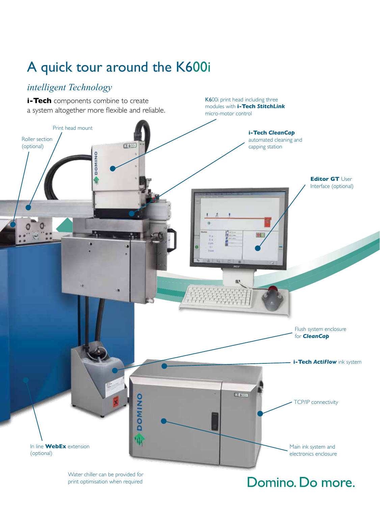## A quick tour around the K600i

### *intelligent Technology*



Water chiller can be provided for print optimisation when required

### Domino. Do more.